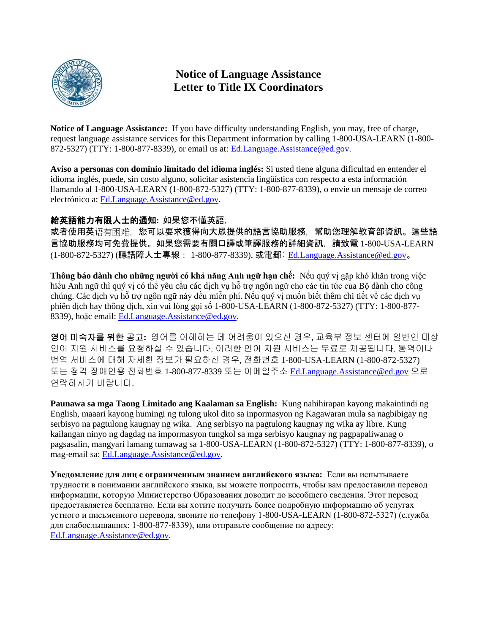

## **Notice of Language Assistance Letter to Title IX Coordinators**

**Notice of Language Assistance:** If you have difficulty understanding English, you may, free of charge, request language assistance services for this Department information by calling 1-800-USA-LEARN (1-800- 872-5327) (TTY: 1-800-877-8339), or email us at: [Ed.Language.Assistance@ed.gov.](mailto:Ed.Language.Assistance@ed.gov)

**Aviso a personas con dominio limitado del idioma inglés:** Si usted tiene alguna dificultad en entender el idioma inglés, puede, sin costo alguno, solicitar asistencia lingüística con respecto a esta información llamando al 1-800-USA-LEARN (1-800-872-5327) (TTY: 1-800-877-8339), o envíe un mensaje de correo electrónico a: [Ed.Language.Assistance@ed.gov.](mailto:Ed.Language.Assistance@ed.gov)

#### 給英語能力有限人士的通知**:** 如果您不懂英語,

或者使用英语有困难,您可以要求獲得向大眾提供的語言協助服務,幫助您理解教育部資訊。這些語 言協助服務均可免費提供。如果您需要有關口譯或筆譯服務的詳細資訊,請致電 1-800-USA-LEARN (1-800-872-5327) (聽語障人士專線: 1-800-877-8339), 或電郵: [Ed.Language.Assistance@ed.gov](mailto:Ed.Language.Assistance@ed.gov)。

**Thông báo dành cho những người có khả năng Anh ngữ hạn chế:** Nếu quý vị gặp khó khăn trong việc hiểu Anh ngữ thì quý vị có thể yêu cầu các dịch vụ hỗ trợ ngôn ngữ cho các tin tức của Bộ dành cho công chúng. Các dịch vụ hỗ trợ ngôn ngữ này đều miễn phí. Nếu quý vị muốn biết thêm chi tiết về các dịch vụ phiên dịch hay thông dịch, xin vui lòng gọi số 1-800-USA-LEARN (1-800-872-5327) (TTY: 1-800-877- 8339), hoặc email: [Ed.Language.Assistance@ed.gov.](mailto:Ed.Language.Assistance@ed.gov)

영어 미숙자를 위한 공고**:** 영어를 이해하는 데 어려움이 있으신 경우, 교육부 정보 센터에 일반인 대상 언어 지원 서비스를 요청하실 수 있습니다. 이러한 언어 지원 서비스는 무료로 제공됩니다. 통역이나 번역 서비스에 대해 자세한 정보가 필요하신 경우, 전화번호 1-800-USA-LEARN (1-800-872-5327) 또는 청각 장애인용 전화번호 1-800-877-8339 또는 이메일주소 [Ed.Language.Assistance@ed.gov](mailto:Ed.Language.Assistance@ed.gov) 으로 연락하시기 바랍니다.

**Paunawa sa mga Taong Limitado ang Kaalaman sa English:** Kung nahihirapan kayong makaintindi ng English, maaari kayong humingi ng tulong ukol dito sa inpormasyon ng Kagawaran mula sa nagbibigay ng serbisyo na pagtulong kaugnay ng wika. Ang serbisyo na pagtulong kaugnay ng wika ay libre. Kung kailangan ninyo ng dagdag na impormasyon tungkol sa mga serbisyo kaugnay ng pagpapaliwanag o pagsasalin, mangyari lamang tumawag sa 1-800-USA-LEARN (1-800-872-5327) (TTY: 1-800-877-8339), o mag-email sa: [Ed.Language.Assistance@ed.gov.](mailto:Ed.Language.Assistance@ed.gov)

**Уведомление для лиц с ограниченным знанием английского языка:** Если вы испытываете трудности в понимании английского языка, вы можете попросить, чтобы вам предоставили перевод информации, которую Министерство Образования доводит до всеобщего сведения. Этот перевод предоставляется бесплатно. Если вы хотите получить более подробную информацию об услугах устного и письменного перевода, звоните по телефону 1-800-USA-LEARN (1-800-872-5327) (служба для слабослышащих: 1-800-877-8339), или отправьте сообщение по адресу: [Ed.Language.Assistance@ed.gov.](mailto:Ed.Language.Assistance@ed.gov)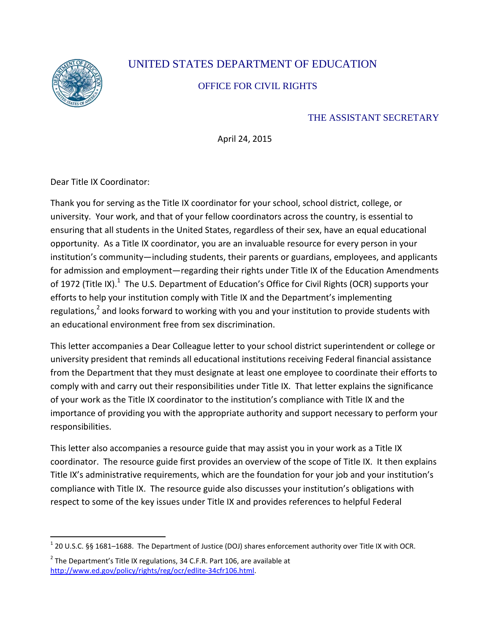

 $\overline{a}$ 

# UNITED STATES DEPARTMENT OF EDUCATION

### OFFICE FOR CIVIL RIGHTS

### THE ASSISTANT SECRETARY

April 24, 2015

Dear Title IX Coordinator:

Thank you for serving as the Title IX coordinator for your school, school district, college, or university. Your work, and that of your fellow coordinators across the country, is essential to ensuring that all students in the United States, regardless of their sex, have an equal educational opportunity. As a Title IX coordinator, you are an invaluable resource for every person in your institution's community—including students, their parents or guardians, employees, and applicants for admission and employment—regarding their rights under Title IX of the Education Amendments of 1972 (Title IX).<sup>1</sup> The U.S. Department of Education's Office for Civil Rights (OCR) supports your efforts to help your institution comply with Title IX and the Department's implementing regulations,<sup>2</sup> and looks forward to working with you and your institution to provide students with an educational environment free from sex discrimination.

This letter accompanies a Dear Colleague letter to your school district superintendent or college or university president that reminds all educational institutions receiving Federal financial assistance from the Department that they must designate at least one employee to coordinate their efforts to comply with and carry out their responsibilities under Title IX. That letter explains the significance of your work as the Title IX coordinator to the institution's compliance with Title IX and the importance of providing you with the appropriate authority and support necessary to perform your responsibilities.

This letter also accompanies a resource guide that may assist you in your work as a Title IX coordinator. The resource guide first provides an overview of the scope of Title IX. It then explains Title IX's administrative requirements, which are the foundation for your job and your institution's compliance with Title IX. The resource guide also discusses your institution's obligations with respect to some of the key issues under Title IX and provides references to helpful Federal

 $^1$  20 U.S.C. §§ 1681–1688. The Department of Justice (DOJ) shares enforcement authority over Title IX with OCR.

 $2$  The Department's Title IX regulations, 34 C.F.R. Part 106, are available at [http://www.ed.gov/policy/rights/reg/ocr/edlite-34cfr106.html.](http://www.ed.gov/policy/rights/reg/ocr/edlite-34cfr106.html)